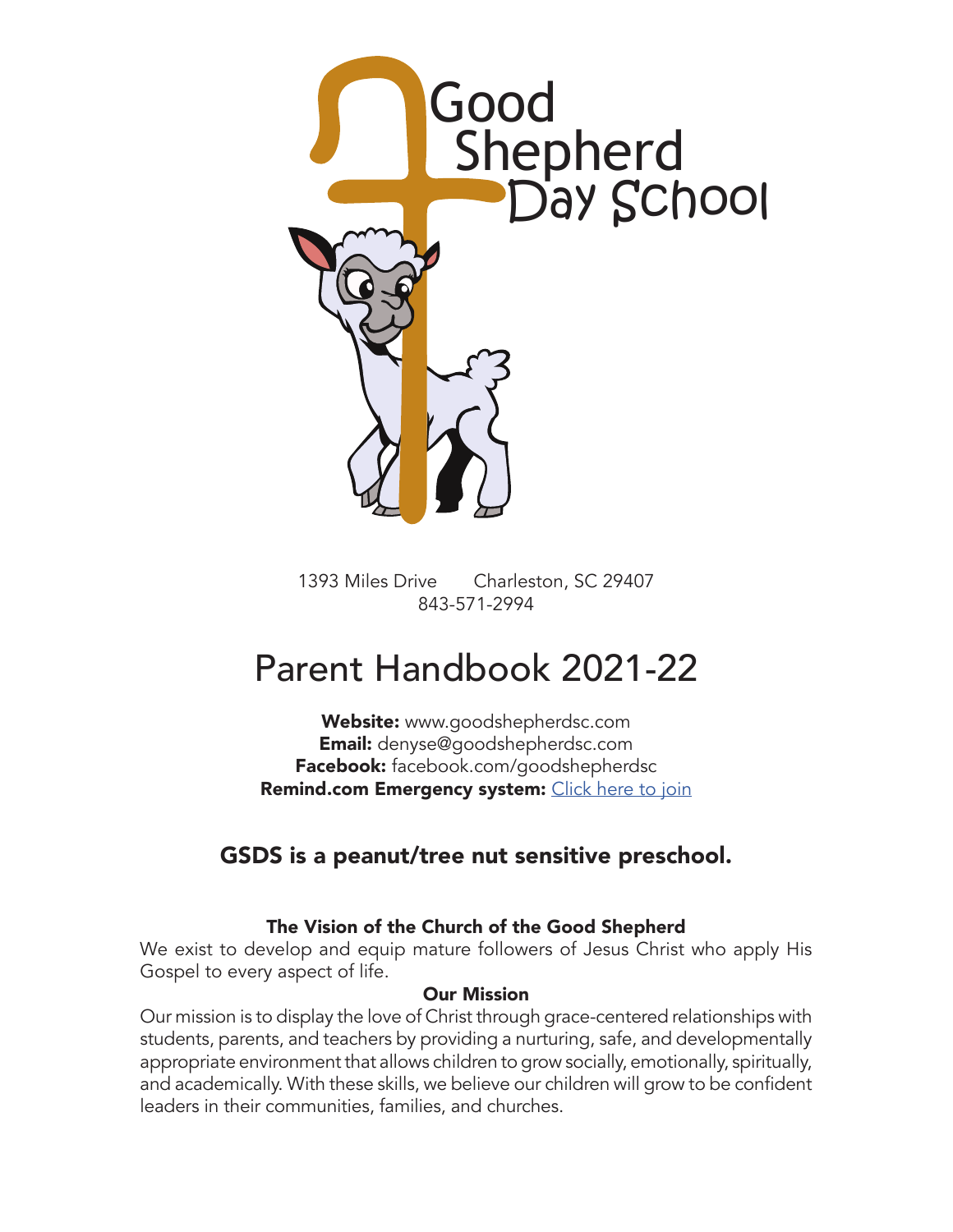

1393 Miles Drive Charleston, SC 29407 843-571-2994

# Parent Handbook 2021-22

Website: www.goodshepherdsc.com **Email:** denyse@goodshepherdsc.com Facebook: facebook.com/goodshepherdsc Remind.com Emergency system: [Click here to join](https://www.remind.com/join/e4febe9)

# GSDS is a peanut/tree nut sensitive preschool.

# The Vision of the Church of the Good Shepherd

We exist to develop and equip mature followers of Jesus Christ who apply His Gospel to every aspect of life.

# Our Mission

Our mission is to display the love of Christ through grace-centered relationships with students, parents, and teachers by providing a nurturing, safe, and developmentally appropriate environment that allows children to grow socially, emotionally, spiritually, and academically. With these skills, we believe our children will grow to be confident leaders in their communities, families, and churches.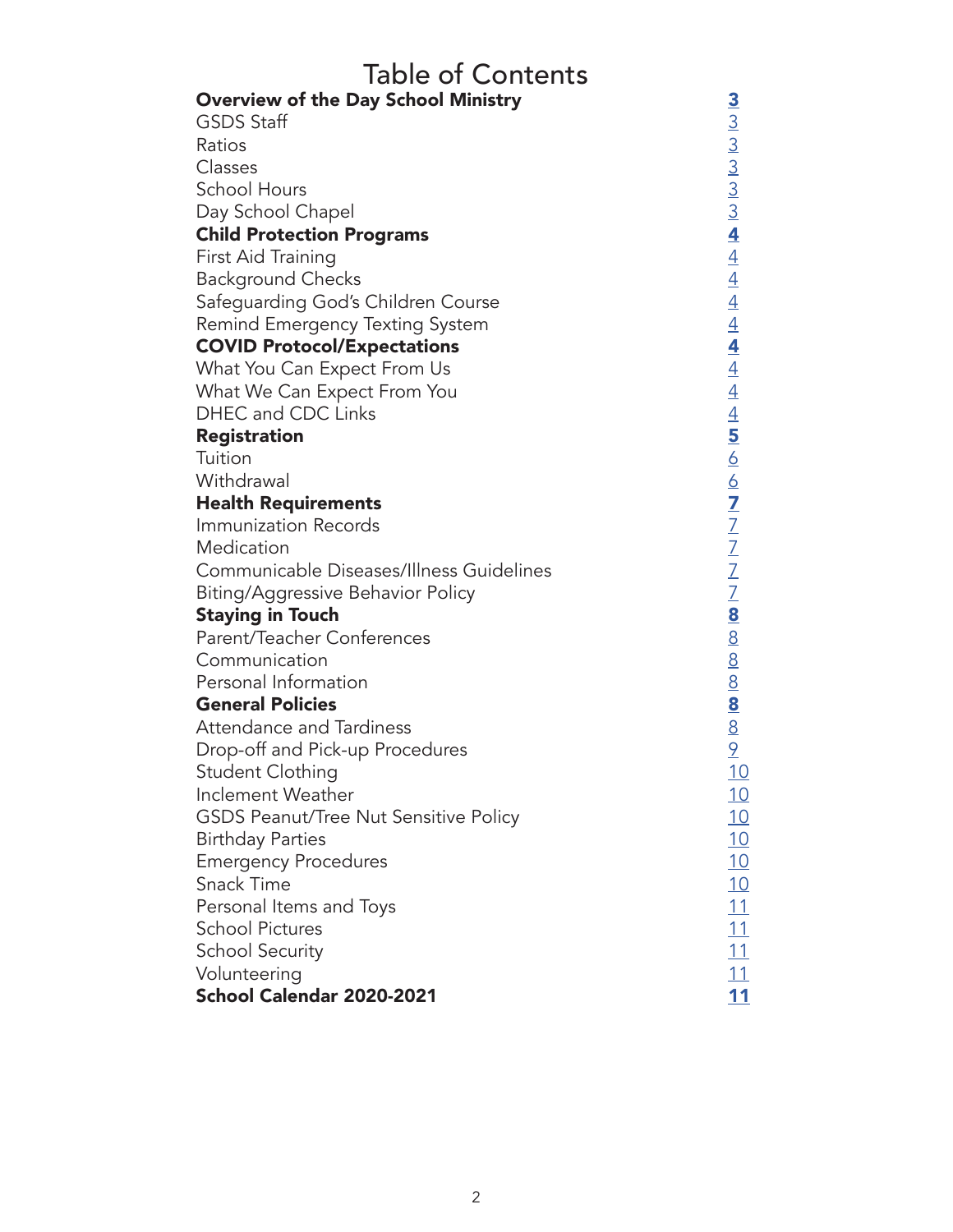# Table of Contents **Overview of the Day School Ministry<br>
GSDS Staff<br>
Ratios<br>
Classes<br>
School Hours<br>
Day School Chapel<br>
Child Protection Programs<br>
First Aid Training<br>
Background Checks<br>**  $\frac{4}{4}$ GSDS Staff [3](#page-2-0) Ratios and the set of the set of the set of the set of the set of the set of the set of the set of the set of the set of the set of the set of the set of the set of the set of the set of the set of the set of the set of th Classes [3](#page-2-0)3 School Hours Day School Chapel Child Protection Programs [4](#page-3-0) First Aid Training [4](#page-3-0) Background Checks<br>
Safeguarding God's Children Course<br>
Remind Emergency Texting System<br> **COVID Protocol/Expectations**<br>
What You Can Expect From Us<br> [4](#page-3-0) Safeguarding God's Children Course [4](#page-3-0) Remind Emergency Texting System [4](#page-3-0) COVID Protocol/Expectations [4](#page-3-0) What You Can Expect From Us<br>
What We Can Expect From You<br>
1[4](#page-3-0)<br>
DHEC and CDC Links<br>
14<br> **Registration**<br>
5<br>
Tuition<br>
6<br>
Withdrawal<br> **Health Requirements<br>
2<br>
Immunization Records<br>
7<br>
Communicable Diseases/Illness Guidelines<br>
2** What We Can Expect From You DHEC and CDC Links [4](#page-3-0) **Registration** Tuition **[6](#page-5-0). In the contract of the contract of the contract of the contract of the contract of the contract of the contract of the contract of the contract of the contract of the contract of the contract of the contract of** Withdrawal Health Requirements [7](#page-6-0) Immunization Records [7](#page-6-0) **Medication** Communicable Diseases/Illness Guidelines [7](#page-6-0) Biting/Aggressive Behavior Policy<br>**Staying in Touch** 8 **Staying in Touch 8 and 1998 Staying in Touch 8 and 1998 Staying State 1.1 And 1998 State 1.1 And 1998 State 1.1**<br>Parent/Teacher Conferences 8 and 1.1 And 1.1 And 1.1 And 1.1 And 1.1 And 1.1 And 1.1 And 1.1 And 1.1 And 1.1 Parent/Teacher Conferences 8 Communication 8<br>Personal Information 8<br>B Personal Information and the set of the set of the set of the set of the set of the set of the set of the set o<br>**8 General Policies**<br>Attendance and Tardiness and Santa Baranga Baranga Baranga Baranga Baranga Baranga Baranga Baranga Baranga Bar Attendance and Tardiness<br>
Drop-off and Pick-up Procedures<br>
2 Drop-off and Pick-up Procedures<br>
Student Clothing 10 Student Clothing Inclement Weather 10 GSDS Peanut/Tree Nut Sensitive Policy **10** Birthday Parties 10 Emergency Procedures **[10](#page-9-0)** Snack Time 2012 2013 2022 [10](#page-9-0):00:00 10:00:00 10:00:00 10:00:00 10:00:00 10:00:00 10:00:00 10:00:00 10:00:00 10:00:00 10:00:00 10:00:00 10:00:00 10:00:00 10:00:00 10:00:00 10:00:00 10:00:00 10:00:00 10:00:00 10:00:00 10:00:0 Personal Items and Toys [11](#page-10-0) School Pictures **[11](#page-10-0)** School Security [11](#page-10-0)

Volunteering [11](#page-10-0)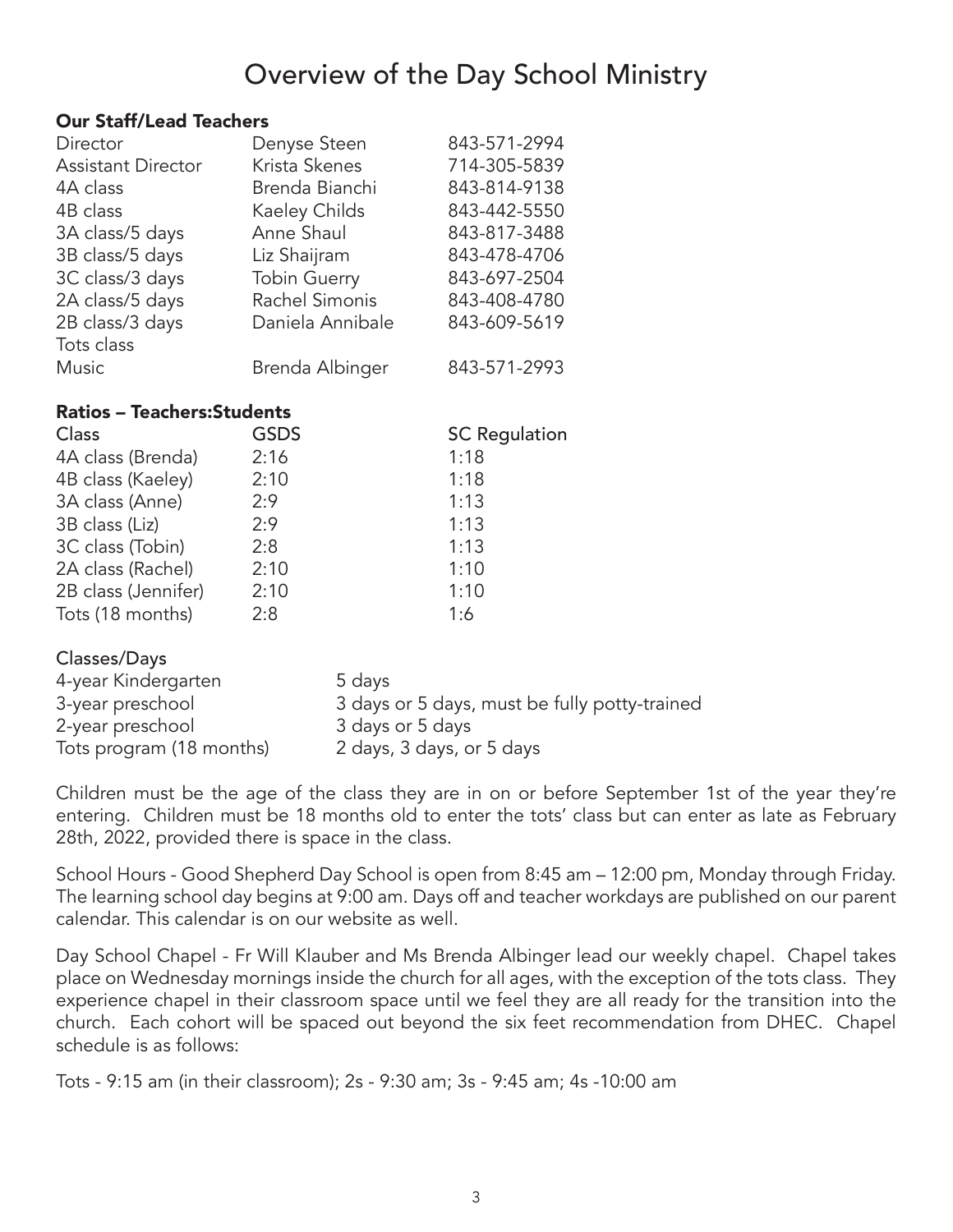# Overview of the Day School Ministry

#### <span id="page-2-0"></span>Our Staff/Lead Teachers

| Director                  | Denyse Steen        | 843-571-2994 |
|---------------------------|---------------------|--------------|
| <b>Assistant Director</b> | Krista Skenes       | 714-305-5839 |
| 4A class                  | Brenda Bianchi      | 843-814-9138 |
| 4B class                  | Kaeley Childs       | 843-442-5550 |
| 3A class/5 days           | Anne Shaul          | 843-817-3488 |
| 3B class/5 days           | Liz Shaijram        | 843-478-4706 |
| 3C class/3 days           | <b>Tobin Guerry</b> | 843-697-2504 |
| 2A class/5 days           | Rachel Simonis      | 843-408-4780 |
| 2B class/3 days           | Daniela Annibale    | 843-609-5619 |
| Tots class                |                     |              |
| <b>Music</b>              | Brenda Albinger     | 843-571-2993 |

#### Ratios – Teachers:Students

| <b>GSDS</b> | <b>SC Regulation</b> |
|-------------|----------------------|
| 2:16        | 1:18                 |
| 2:10        | 1:18                 |
| 2:9         | 1:13                 |
| 2:9         | 1:13                 |
| 2:8         | 1:13                 |
| 2:10        | 1:10                 |
| 2:10        | 1:10                 |
| 2:8         | 1:6                  |
|             |                      |

#### Classes/Days

| 4-year Kindergarten      | 5 days                                        |
|--------------------------|-----------------------------------------------|
| 3-year preschool         | 3 days or 5 days, must be fully potty-trained |
| 2-year preschool         | 3 days or 5 days                              |
| Tots program (18 months) | 2 days, 3 days, or 5 days                     |

Children must be the age of the class they are in on or before September 1st of the year they're entering. Children must be 18 months old to enter the tots' class but can enter as late as February 28th, 2022, provided there is space in the class.

School Hours - Good Shepherd Day School is open from 8:45 am – 12:00 pm, Monday through Friday. The learning school day begins at 9:00 am. Days off and teacher workdays are published on our parent calendar. This calendar is on our website as well.

Day School Chapel - Fr Will Klauber and Ms Brenda Albinger lead our weekly chapel. Chapel takes place on Wednesday mornings inside the church for all ages, with the exception of the tots class. They experience chapel in their classroom space until we feel they are all ready for the transition into the church. Each cohort will be spaced out beyond the six feet recommendation from DHEC. Chapel schedule is as follows:

Tots - 9:15 am (in their classroom); 2s - 9:30 am; 3s - 9:45 am; 4s -10:00 am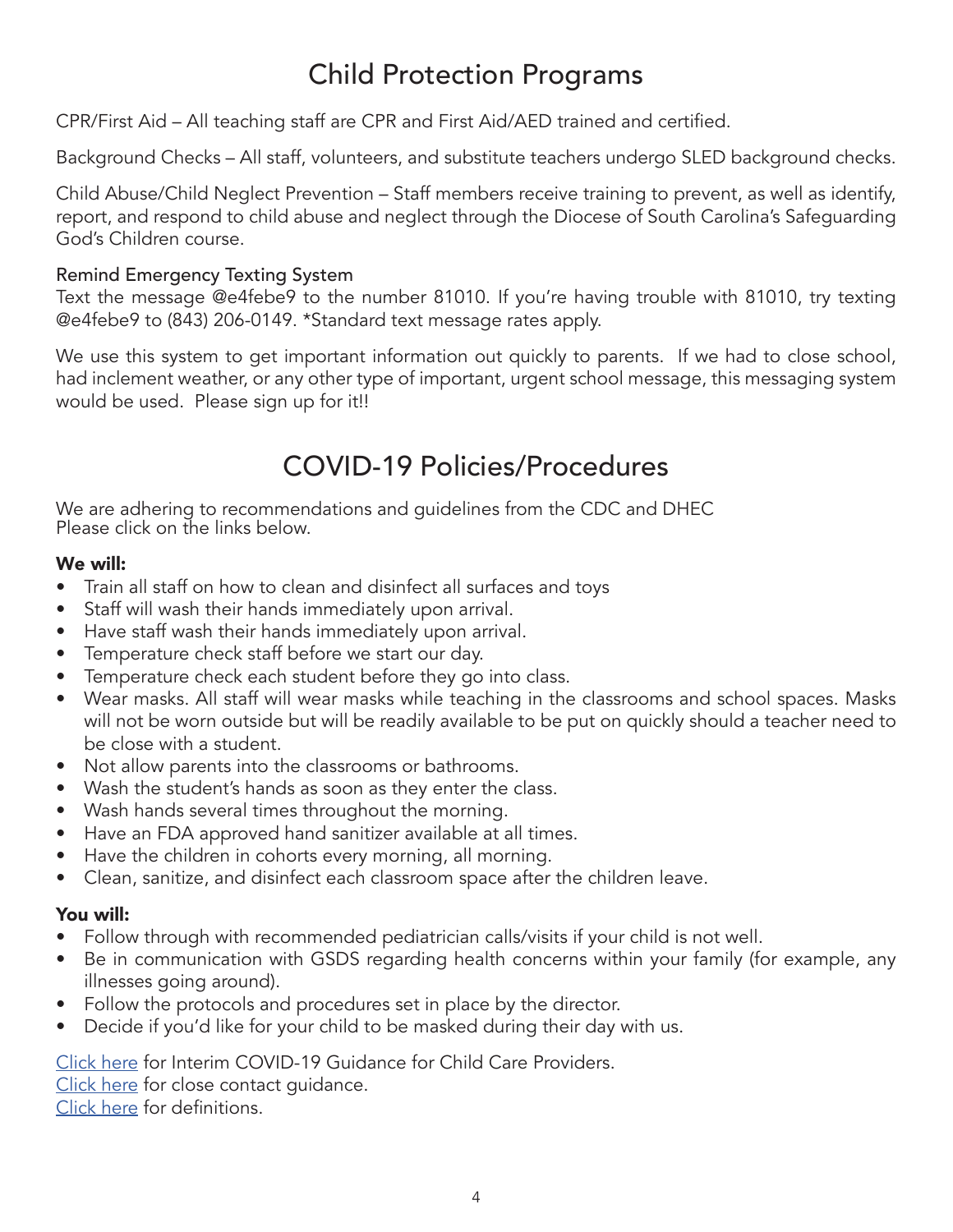# Child Protection Programs

<span id="page-3-0"></span>CPR/First Aid – All teaching staff are CPR and First Aid/AED trained and certified.

Background Checks – All staff, volunteers, and substitute teachers undergo SLED background checks.

Child Abuse/Child Neglect Prevention – Staff members receive training to prevent, as well as identify, report, and respond to child abuse and neglect through the Diocese of South Carolina's Safeguarding God's Children course.

#### Remind Emergency Texting System

Text the message @e4febe9 to the number 81010. If you're having trouble with 81010, try texting @e4febe9 to (843) 206-0149. \*Standard text message rates apply.

We use this system to get important information out quickly to parents. If we had to close school, had inclement weather, or any other type of important, urgent school message, this messaging system would be used. Please sign up for it!!

# COVID-19 Policies/Procedures

We are adhering to recommendations and guidelines from the CDC and DHEC Please click on the links below.

#### We will:

- Train all staff on how to clean and disinfect all surfaces and toys
- Staff will wash their hands immediately upon arrival.
- Have staff wash their hands immediately upon arrival.
- Temperature check staff before we start our day.
- Temperature check each student before they go into class.
- Wear masks. All staff will wear masks while teaching in the classrooms and school spaces. Masks will not be worn outside but will be readily available to be put on quickly should a teacher need to be close with a student.
- Not allow parents into the classrooms or bathrooms.
- Wash the student's hands as soon as they enter the class.
- Wash hands several times throughout the morning.
- Have an FDA approved hand sanitizer available at all times.
- Have the children in cohorts every morning, all morning.
- Clean, sanitize, and disinfect each classroom space after the children leave.

# You will:

- Follow through with recommended pediatrician calls/visits if your child is not well.
- Be in communication with GSDS regarding health concerns within your family (for example, any illnesses going around).
- Follow the protocols and procedures set in place by the director.
- Decide if you'd like for your child to be masked during their day with us.

[Click here](https://scdhec.gov/sites/default/files/media/document/Childcare-COVID-guidance-response-to-a-case-05.07.21.pdf) for Interim COVID-19 Guidance for Child Care Providers.

[Click here](https://scdhec.gov/sites/default/files/Library/CR-012601.pdf) for close contact guidance.

[Click here](https://scdhec.gov/sites/default/files/media/document/COVID-19-schools-childcare-center-definitions.pdf) for definitions.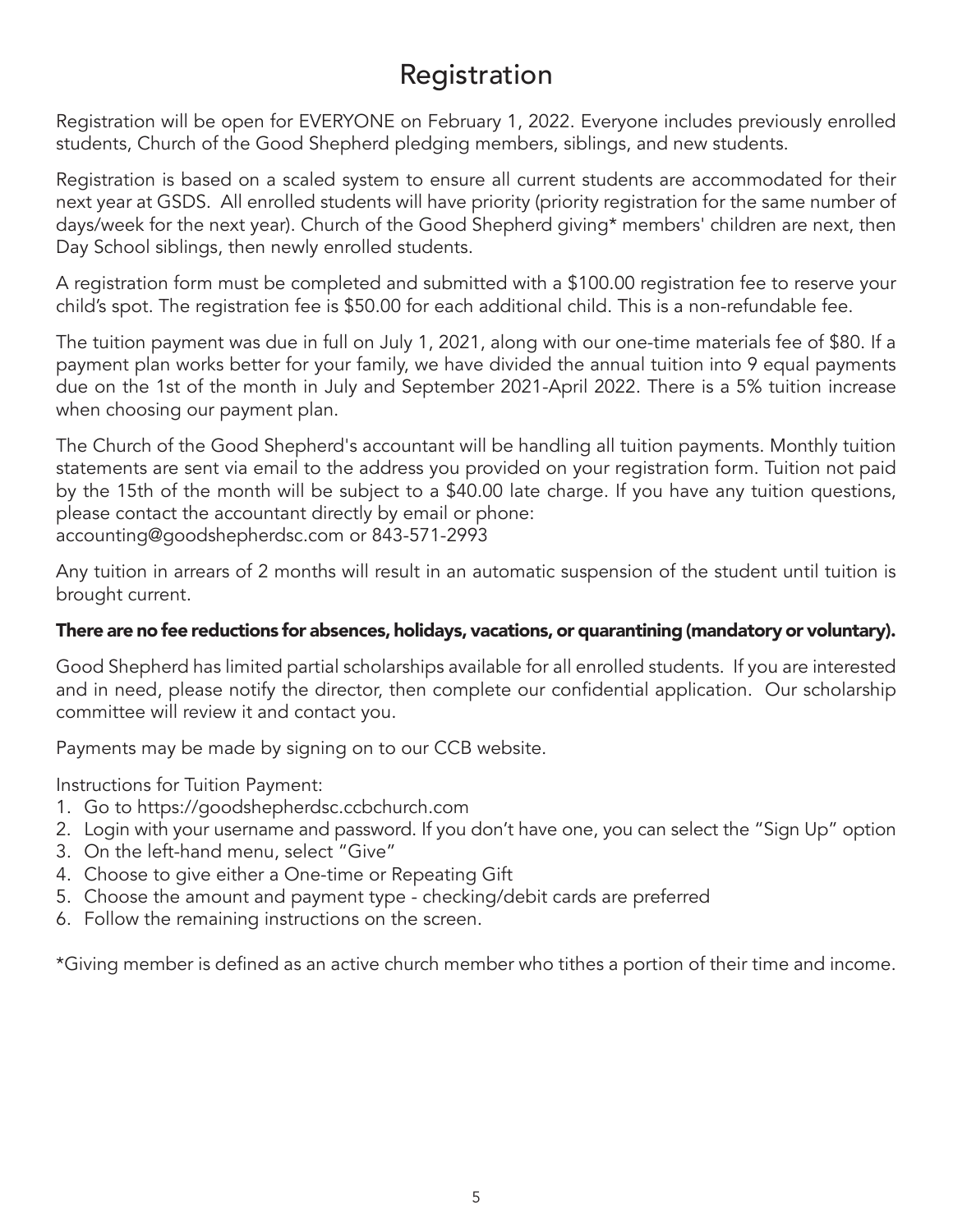# Registration

<span id="page-4-0"></span>Registration will be open for EVERYONE on February 1, 2022. Everyone includes previously enrolled students, Church of the Good Shepherd pledging members, siblings, and new students.

Registration is based on a scaled system to ensure all current students are accommodated for their next year at GSDS. All enrolled students will have priority (priority registration for the same number of days/week for the next year). Church of the Good Shepherd giving\* members' children are next, then Day School siblings, then newly enrolled students.

A registration form must be completed and submitted with a \$100.00 registration fee to reserve your child's spot. The registration fee is \$50.00 for each additional child. This is a non-refundable fee.

The tuition payment was due in full on July 1, 2021, along with our one-time materials fee of \$80. If a payment plan works better for your family, we have divided the annual tuition into 9 equal payments due on the 1st of the month in July and September 2021-April 2022. There is a 5% tuition increase when choosing our payment plan.

The Church of the Good Shepherd's accountant will be handling all tuition payments. Monthly tuition statements are sent via email to the address you provided on your registration form. Tuition not paid by the 15th of the month will be subject to a \$40.00 late charge. If you have any tuition questions, please contact the accountant directly by email or phone: accounting@goodshepherdsc.com or 843-571-2993

Any tuition in arrears of 2 months will result in an automatic suspension of the student until tuition is brought current.

# There are no fee reductions for absences, holidays, vacations, or quarantining (mandatory or voluntary).

Good Shepherd has limited partial scholarships available for all enrolled students. If you are interested and in need, please notify the director, then complete our confidential application. Our scholarship committee will review it and contact you.

Payments may be made by signing on to our CCB website.

Instructions for Tuition Payment:

- 1. Go to https://goodshepherdsc.ccbchurch.com
- 2. Login with your username and password. If you don't have one, you can select the "Sign Up" option
- 3. On the left-hand menu, select "Give"
- 4. Choose to give either a One-time or Repeating Gift
- 5. Choose the amount and payment type checking/debit cards are preferred
- 6. Follow the remaining instructions on the screen.

\*Giving member is defined as an active church member who tithes a portion of their time and income.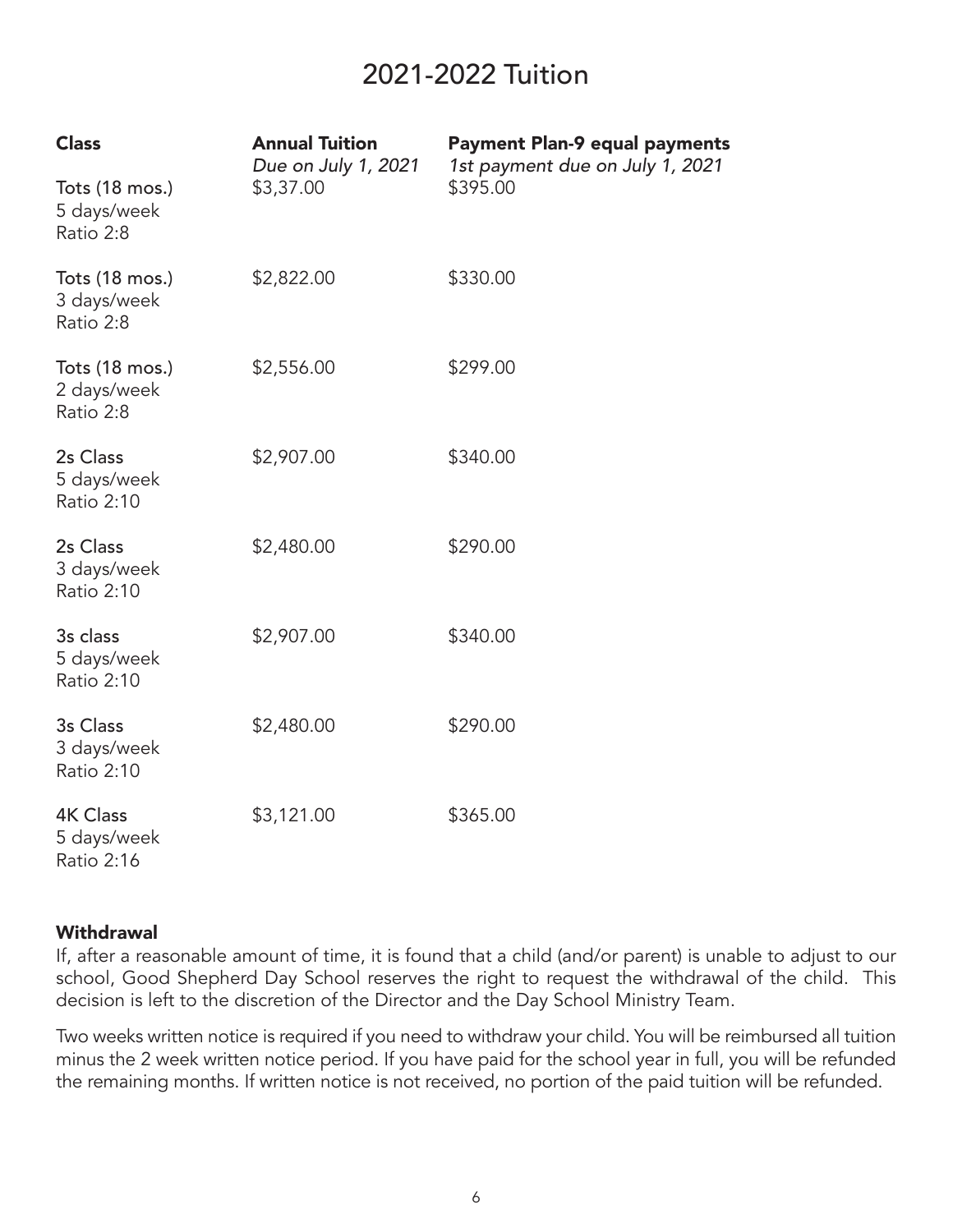# 2021-2022 Tuition

<span id="page-5-0"></span>

| <b>Class</b>                                        | <b>Annual Tuition</b><br>Due on July 1, 2021 | <b>Payment Plan-9 equal payments</b><br>1st payment due on July 1, 2021<br>\$395.00 |  |
|-----------------------------------------------------|----------------------------------------------|-------------------------------------------------------------------------------------|--|
| Tots (18 mos.)<br>5 days/week<br>Ratio 2:8          | \$3,37.00                                    |                                                                                     |  |
| Tots (18 mos.)<br>3 days/week<br>Ratio 2:8          | \$2,822.00                                   | \$330.00                                                                            |  |
| Tots (18 mos.)<br>2 days/week<br>Ratio 2:8          | \$2,556.00                                   | \$299.00                                                                            |  |
| 2s Class<br>5 days/week<br><b>Ratio 2:10</b>        | \$2,907.00                                   | \$340.00                                                                            |  |
| 2s Class<br>3 days/week<br><b>Ratio 2:10</b>        | \$2,480.00                                   | \$290.00                                                                            |  |
| 3s class<br>5 days/week<br><b>Ratio 2:10</b>        | \$2,907.00                                   | \$340.00                                                                            |  |
| 3s Class<br>3 days/week<br><b>Ratio 2:10</b>        | \$2,480.00                                   | \$290.00                                                                            |  |
| <b>4K Class</b><br>5 days/week<br><b>Ratio 2:16</b> | \$3,121.00                                   | \$365.00                                                                            |  |

#### **Withdrawal**

If, after a reasonable amount of time, it is found that a child (and/or parent) is unable to adjust to our school, Good Shepherd Day School reserves the right to request the withdrawal of the child. This decision is left to the discretion of the Director and the Day School Ministry Team.

Two weeks written notice is required if you need to withdraw your child. You will be reimbursed all tuition minus the 2 week written notice period. If you have paid for the school year in full, you will be refunded the remaining months. If written notice is not received, no portion of the paid tuition will be refunded.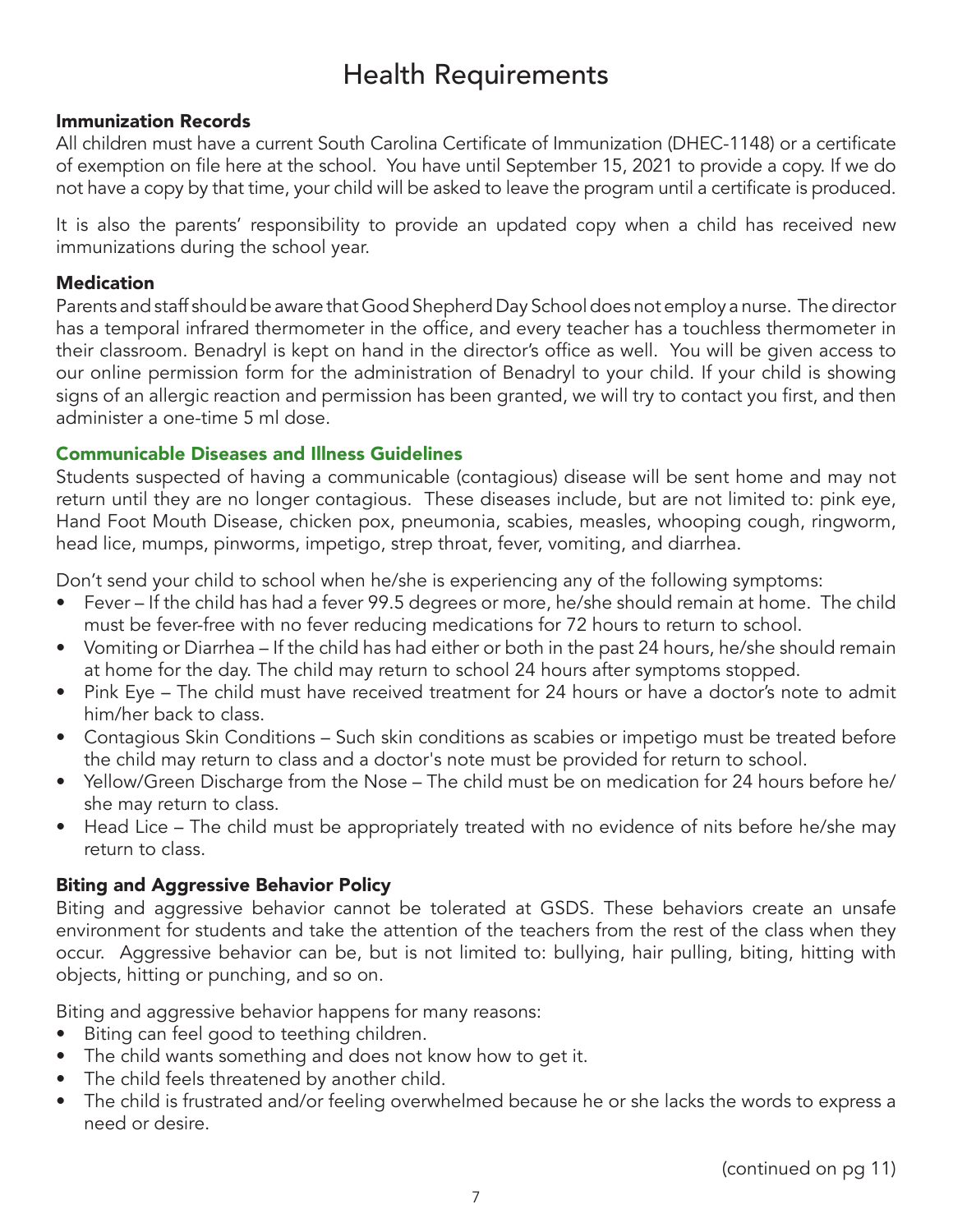# Health Requirements

#### <span id="page-6-0"></span>Immunization Records

All children must have a current South Carolina Certificate of Immunization (DHEC-1148) or a certificate of exemption on file here at the school. You have until September 15, 2021 to provide a copy. If we do not have a copy by that time, your child will be asked to leave the program until a certificate is produced.

It is also the parents' responsibility to provide an updated copy when a child has received new immunizations during the school year.

#### **Medication**

Parents and staff should be aware that Good Shepherd Day School does not employ a nurse. The director has a temporal infrared thermometer in the office, and every teacher has a touchless thermometer in their classroom. Benadryl is kept on hand in the director's office as well. You will be given access to our online permission form for the administration of Benadryl to your child. If your child is showing signs of an allergic reaction and permission has been granted, we will try to contact you first, and then administer a one-time 5 ml dose.

#### Communicable Diseases and Illness Guidelines

Students suspected of having a communicable (contagious) disease will be sent home and may not return until they are no longer contagious. These diseases include, but are not limited to: pink eye, Hand Foot Mouth Disease, chicken pox, pneumonia, scabies, measles, whooping cough, ringworm, head lice, mumps, pinworms, impetigo, strep throat, fever, vomiting, and diarrhea.

Don't send your child to school when he/she is experiencing any of the following symptoms:

- Fever If the child has had a fever 99.5 degrees or more, he/she should remain at home. The child must be fever-free with no fever reducing medications for 72 hours to return to school.
- Vomiting or Diarrhea If the child has had either or both in the past 24 hours, he/she should remain at home for the day. The child may return to school 24 hours after symptoms stopped.
- Pink Eye The child must have received treatment for 24 hours or have a doctor's note to admit him/her back to class.
- Contagious Skin Conditions Such skin conditions as scabies or impetigo must be treated before the child may return to class and a doctor's note must be provided for return to school.
- Yellow/Green Discharge from the Nose The child must be on medication for 24 hours before he/ she may return to class.
- Head Lice The child must be appropriately treated with no evidence of nits before he/she may return to class.

# Biting and Aggressive Behavior Policy

Biting and aggressive behavior cannot be tolerated at GSDS. These behaviors create an unsafe environment for students and take the attention of the teachers from the rest of the class when they occur. Aggressive behavior can be, but is not limited to: bullying, hair pulling, biting, hitting with objects, hitting or punching, and so on.

Biting and aggressive behavior happens for many reasons:

- Biting can feel good to teething children.
- The child wants something and does not know how to get it.
- The child feels threatened by another child.
- The child is frustrated and/or feeling overwhelmed because he or she lacks the words to express a need or desire.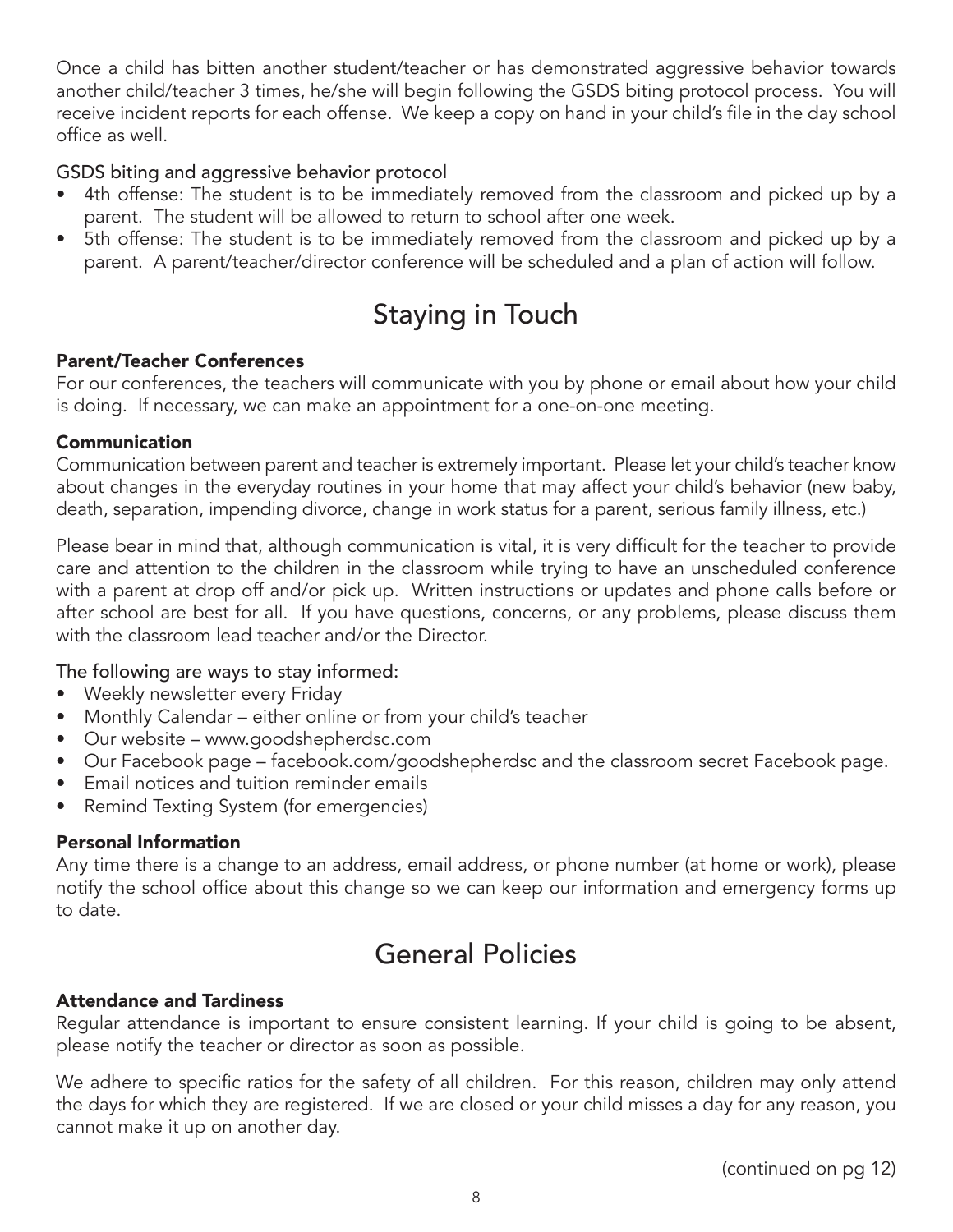<span id="page-7-0"></span>Once a child has bitten another student/teacher or has demonstrated aggressive behavior towards another child/teacher 3 times, he/she will begin following the GSDS biting protocol process. You will receive incident reports for each offense. We keep a copy on hand in your child's file in the day school office as well.

# GSDS biting and aggressive behavior protocol

- 4th offense: The student is to be immediately removed from the classroom and picked up by a parent. The student will be allowed to return to school after one week.
- 5th offense: The student is to be immediately removed from the classroom and picked up by a parent. A parent/teacher/director conference will be scheduled and a plan of action will follow.

# Staying in Touch

#### Parent/Teacher Conferences

For our conferences, the teachers will communicate with you by phone or email about how your child is doing. If necessary, we can make an appointment for a one-on-one meeting.

#### Communication

Communication between parent and teacher is extremely important. Please let your child's teacher know about changes in the everyday routines in your home that may affect your child's behavior (new baby, death, separation, impending divorce, change in work status for a parent, serious family illness, etc.)

Please bear in mind that, although communication is vital, it is very difficult for the teacher to provide care and attention to the children in the classroom while trying to have an unscheduled conference with a parent at drop off and/or pick up. Written instructions or updates and phone calls before or after school are best for all. If you have questions, concerns, or any problems, please discuss them with the classroom lead teacher and/or the Director.

# The following are ways to stay informed:

- Weekly newsletter every Friday
- Monthly Calendar either online or from your child's teacher
- Our website www.goodshepherdsc.com
- Our Facebook page facebook.com/goodshepherdsc and the classroom secret Facebook page.
- Email notices and tuition reminder emails
- Remind Texting System (for emergencies)

# Personal Information

Any time there is a change to an address, email address, or phone number (at home or work), please notify the school office about this change so we can keep our information and emergency forms up to date.

# General Policies

# Attendance and Tardiness

Regular attendance is important to ensure consistent learning. If your child is going to be absent, please notify the teacher or director as soon as possible.

We adhere to specific ratios for the safety of all children. For this reason, children may only attend the days for which they are registered. If we are closed or your child misses a day for any reason, you cannot make it up on another day.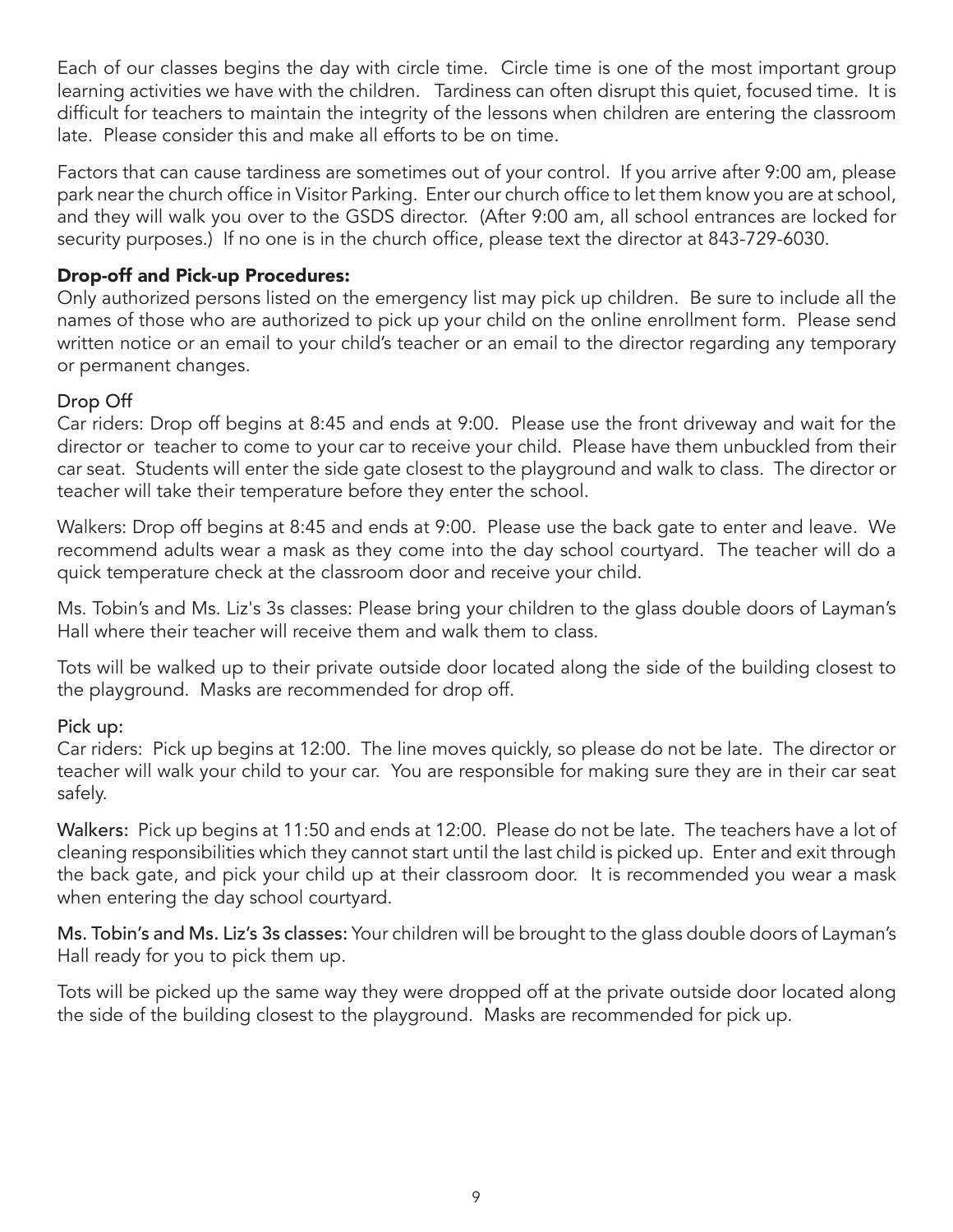<span id="page-8-0"></span>Each of our classes begins the day with circle time. Circle time is one of the most important group learning activities we have with the children. Tardiness can often disrupt this quiet, focused time. It is difficult for teachers to maintain the integrity of the lessons when children are entering the classroom late. Please consider this and make all efforts to be on time.

Factors that can cause tardiness are sometimes out of your control. If you arrive after 9:00 am, please park near the church office in Visitor Parking. Enter our church office to let them know you are at school, and they will walk you over to the GSDS director. (After 9:00 am, all school entrances are locked for security purposes.) If no one is in the church office, please text the director at 843-729-6030.

# Drop-off and Pick-up Procedures:

Only authorized persons listed on the emergency list may pick up children. Be sure to include all the names of those who are authorized to pick up your child on the online enrollment form. Please send written notice or an email to your child's teacher or an email to the director regarding any temporary or permanent changes.

# Drop Off

Car riders: Drop off begins at 8:45 and ends at 9:00. Please use the front driveway and wait for the director or teacher to come to your car to receive your child. Please have them unbuckled from their car seat. Students will enter the side gate closest to the playground and walk to class. The director or teacher will take their temperature before they enter the school.

Walkers: Drop off begins at 8:45 and ends at 9:00. Please use the back gate to enter and leave. We recommend adults wear a mask as they come into the day school courtyard. The teacher will do a quick temperature check at the classroom door and receive your child.

Ms. Tobin's and Ms. Liz's 3s classes: Please bring your children to the glass double doors of Layman's Hall where their teacher will receive them and walk them to class.

Tots will be walked up to their private outside door located along the side of the building closest to the playground. Masks are recommended for drop off.

# Pick up:

Car riders: Pick up begins at 12:00. The line moves quickly, so please do not be late. The director or teacher will walk your child to your car. You are responsible for making sure they are in their car seat safely.

Walkers: Pick up begins at 11:50 and ends at 12:00. Please do not be late. The teachers have a lot of cleaning responsibilities which they cannot start until the last child is picked up. Enter and exit through the back gate, and pick your child up at their classroom door. It is recommended you wear a mask when entering the day school courtyard.

Ms. Tobin's and Ms. Liz's 3s classes: Your children will be brought to the glass double doors of Layman's Hall ready for you to pick them up.

Tots will be picked up the same way they were dropped off at the private outside door located along the side of the building closest to the playground. Masks are recommended for pick up.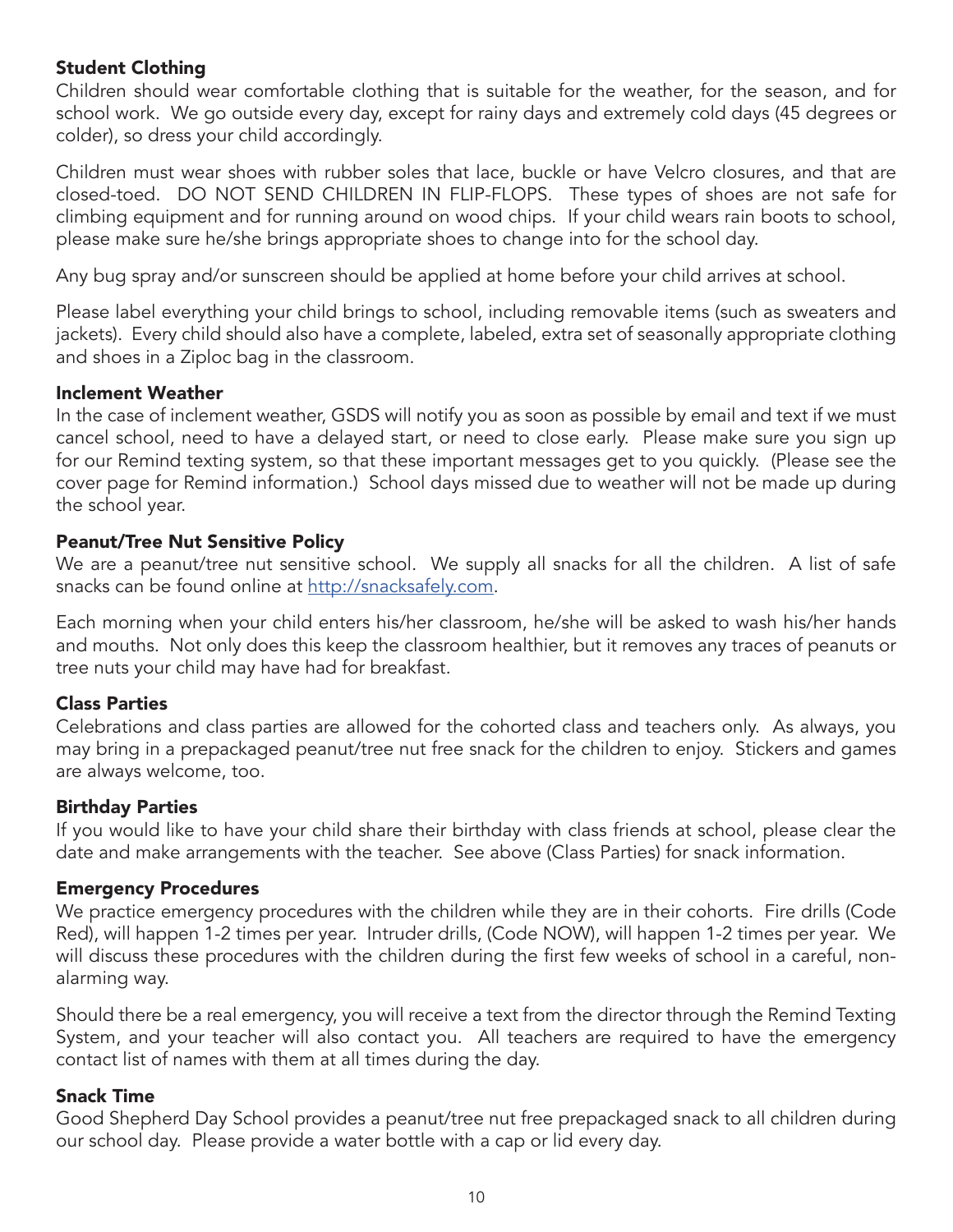# <span id="page-9-0"></span>Student Clothing

Children should wear comfortable clothing that is suitable for the weather, for the season, and for school work. We go outside every day, except for rainy days and extremely cold days (45 degrees or colder), so dress your child accordingly.

Children must wear shoes with rubber soles that lace, buckle or have Velcro closures, and that are closed-toed. DO NOT SEND CHILDREN IN FLIP-FLOPS. These types of shoes are not safe for climbing equipment and for running around on wood chips. If your child wears rain boots to school, please make sure he/she brings appropriate shoes to change into for the school day.

Any bug spray and/or sunscreen should be applied at home before your child arrives at school.

Please label everything your child brings to school, including removable items (such as sweaters and jackets). Every child should also have a complete, labeled, extra set of seasonally appropriate clothing and shoes in a Ziploc bag in the classroom.

#### Inclement Weather

In the case of inclement weather, GSDS will notify you as soon as possible by email and text if we must cancel school, need to have a delayed start, or need to close early. Please make sure you sign up for our Remind texting system, so that these important messages get to you quickly. (Please see the cover page for Remind information.) School days missed due to weather will not be made up during the school year.

# Peanut/Tree Nut Sensitive Policy

We are a peanut/tree nut sensitive school. We supply all snacks for all the children. A list of safe snacks can be found online at <http://snacksafely.com>.

Each morning when your child enters his/her classroom, he/she will be asked to wash his/her hands and mouths. Not only does this keep the classroom healthier, but it removes any traces of peanuts or tree nuts your child may have had for breakfast.

# Class Parties

Celebrations and class parties are allowed for the cohorted class and teachers only. As always, you may bring in a prepackaged peanut/tree nut free snack for the children to enjoy. Stickers and games are always welcome, too.

# Birthday Parties

If you would like to have your child share their birthday with class friends at school, please clear the date and make arrangements with the teacher. See above (Class Parties) for snack information.

#### Emergency Procedures

We practice emergency procedures with the children while they are in their cohorts. Fire drills (Code Red), will happen 1-2 times per year. Intruder drills, (Code NOW), will happen 1-2 times per year. We will discuss these procedures with the children during the first few weeks of school in a careful, nonalarming way.

Should there be a real emergency, you will receive a text from the director through the Remind Texting System, and your teacher will also contact you. All teachers are required to have the emergency contact list of names with them at all times during the day.

#### Snack Time

Good Shepherd Day School provides a peanut/tree nut free prepackaged snack to all children during our school day. Please provide a water bottle with a cap or lid every day.